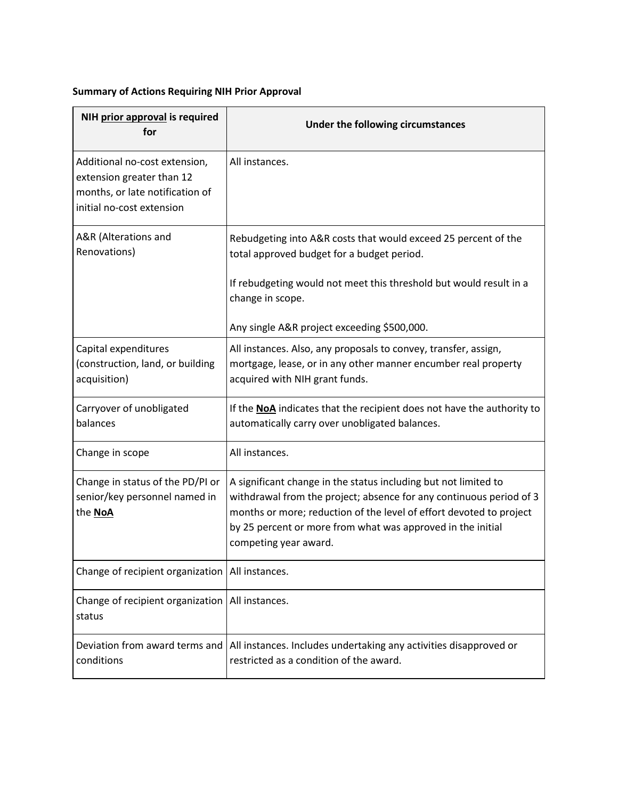## **Summary of Actions Requiring NIH Prior Approval**

| NIH prior approval is required<br>for                                                                                      | Under the following circumstances                                                                                                                                                                                                                                                                     |
|----------------------------------------------------------------------------------------------------------------------------|-------------------------------------------------------------------------------------------------------------------------------------------------------------------------------------------------------------------------------------------------------------------------------------------------------|
| Additional no-cost extension,<br>extension greater than 12<br>months, or late notification of<br>initial no-cost extension | All instances.                                                                                                                                                                                                                                                                                        |
| A&R (Alterations and<br>Renovations)                                                                                       | Rebudgeting into A&R costs that would exceed 25 percent of the<br>total approved budget for a budget period.                                                                                                                                                                                          |
|                                                                                                                            | If rebudgeting would not meet this threshold but would result in a<br>change in scope.                                                                                                                                                                                                                |
|                                                                                                                            | Any single A&R project exceeding \$500,000.                                                                                                                                                                                                                                                           |
| Capital expenditures<br>(construction, land, or building<br>acquisition)                                                   | All instances. Also, any proposals to convey, transfer, assign,<br>mortgage, lease, or in any other manner encumber real property<br>acquired with NIH grant funds.                                                                                                                                   |
| Carryover of unobligated<br>balances                                                                                       | If the NoA indicates that the recipient does not have the authority to<br>automatically carry over unobligated balances.                                                                                                                                                                              |
| Change in scope                                                                                                            | All instances.                                                                                                                                                                                                                                                                                        |
| Change in status of the PD/PI or<br>senior/key personnel named in<br>the NoA                                               | A significant change in the status including but not limited to<br>withdrawal from the project; absence for any continuous period of 3<br>months or more; reduction of the level of effort devoted to project<br>by 25 percent or more from what was approved in the initial<br>competing year award. |
| Change of recipient organization   All instances.                                                                          |                                                                                                                                                                                                                                                                                                       |
| Change of recipient organization   All instances.<br>status                                                                |                                                                                                                                                                                                                                                                                                       |
| Deviation from award terms and<br>conditions                                                                               | All instances. Includes undertaking any activities disapproved or<br>restricted as a condition of the award.                                                                                                                                                                                          |